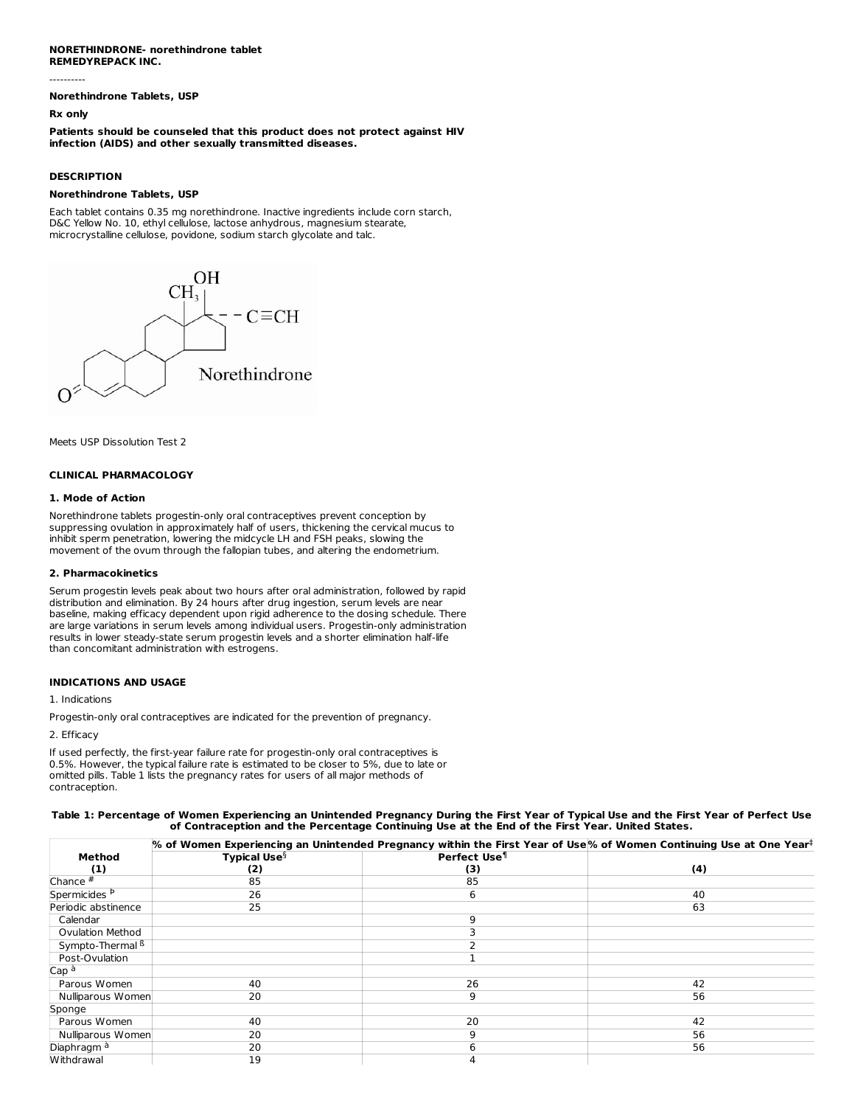## **NORETHINDRONE- norethindrone tablet REMEDYREPACK INC.**

**Norethindrone Tablets, USP**

#### **Rx only**

----------

**Patients should be counseled that this product does not protect against HIV infection (AIDS) and other sexually transmitted diseases.**

## **DESCRIPTION**

#### **Norethindrone Tablets, USP**

Each tablet contains 0.35 mg norethindrone. Inactive ingredients include corn starch, D&C Yellow No. 10, ethyl cellulose, lactose anhydrous, magnesium stearate, microcrystalline cellulose, povidone, sodium starch glycolate and talc.



Meets USP Dissolution Test 2

#### **CLINICAL PHARMACOLOGY**

## **1. Mode of Action**

Norethindrone tablets progestin-only oral contraceptives prevent conception by suppressing ovulation in approximately half of users, thickening the cervical mucus to inhibit sperm penetration, lowering the midcycle LH and FSH peaks, slowing the movement of the ovum through the fallopian tubes, and altering the endometrium.

## **2. Pharmacokinetics**

Serum progestin levels peak about two hours after oral administration, followed by rapid distribution and elimination. By 24 hours after drug ingestion, serum levels are near baseline, making efficacy dependent upon rigid adherence to the dosing schedule. There are large variations in serum levels among individual users. Progestin-only administration results in lower steady-state serum progestin levels and a shorter elimination half-life than concomitant administration with estrogens.

## **INDICATIONS AND USAGE**

#### 1. Indications

Progestin-only oral contraceptives are indicated for the prevention of pregnancy.

2. Efficacy

If used perfectly, the first-year failure rate for progestin-only oral contraceptives is 0.5%. However, the typical failure rate is estimated to be closer to 5%, due to late or omitted pills. Table 1 lists the pregnancy rates for users of all major methods of contraception.

#### Table 1: Percentage of Women Experiencing an Unintended Pregnancy During the First Year of Typical Use and the First Year of Perfect Use **of Contraception and the Percentage Continuing Use at the End of the First Year. United States.**

|                             | $\%$ of Women Experiencing an Unintended Pregnancy within the First Year of Use $\%$ of Women Continuing Use at One Year $^\ddag$ |                          |     |  |  |  |
|-----------------------------|-----------------------------------------------------------------------------------------------------------------------------------|--------------------------|-----|--|--|--|
| Method                      | <b>Typical Use</b> $\S$                                                                                                           | Perfect Use <sup>1</sup> |     |  |  |  |
| (1)                         | (2)                                                                                                                               | (3)                      | (4) |  |  |  |
| Chance $#$                  | 85                                                                                                                                | 85                       |     |  |  |  |
| Spermicides <sup>P</sup>    | 26                                                                                                                                | 6                        | 40  |  |  |  |
| Periodic abstinence         | 25                                                                                                                                |                          | 63  |  |  |  |
| Calendar                    |                                                                                                                                   | q                        |     |  |  |  |
| <b>Ovulation Method</b>     |                                                                                                                                   |                          |     |  |  |  |
| Sympto-Thermal <sup>6</sup> |                                                                                                                                   |                          |     |  |  |  |
| Post-Ovulation              |                                                                                                                                   |                          |     |  |  |  |
| Cap <sup>à</sup>            |                                                                                                                                   |                          |     |  |  |  |
| Parous Women                | 40                                                                                                                                | 26                       | 42  |  |  |  |
| Nulliparous Women           | 20                                                                                                                                | 9                        | 56  |  |  |  |
| Sponge                      |                                                                                                                                   |                          |     |  |  |  |
| Parous Women                | 40                                                                                                                                | 20                       | 42  |  |  |  |
| Nulliparous Women           | 20                                                                                                                                | q                        | 56  |  |  |  |
| Diaphragm <sup>à</sup>      | 20                                                                                                                                | 6                        | 56  |  |  |  |
| Withdrawal                  | 19                                                                                                                                |                          |     |  |  |  |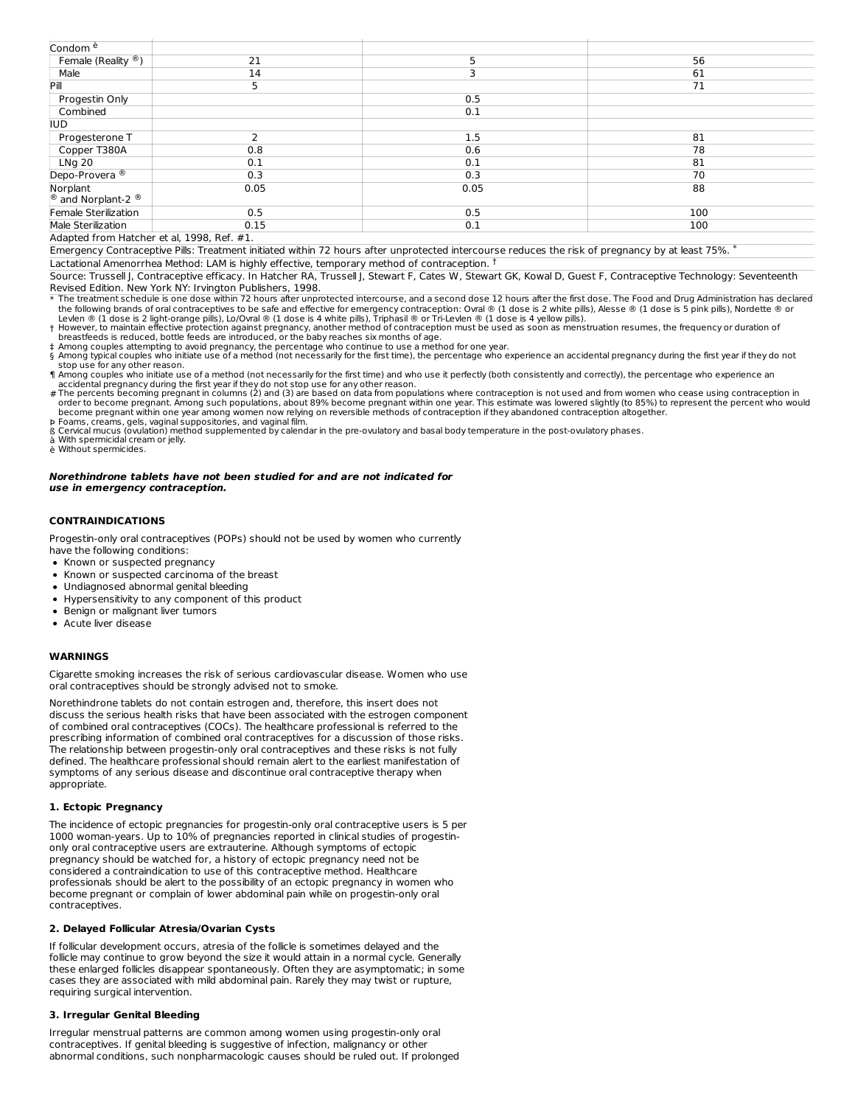| Condom <sup>è</sup>            |      |      |     |
|--------------------------------|------|------|-----|
| Female (Reality <sup>®</sup> ) | 21   |      | 56  |
| Male                           | 14   |      | 61  |
| Pill                           | 5    |      | 71  |
| Progestin Only                 |      | 0.5  |     |
| Combined                       |      | 0.1  |     |
| <b>IUD</b>                     |      |      |     |
| Progesterone T                 |      | 1.5  | 81  |
| Copper T380A                   | 0.8  | 0.6  | 78  |
| LNg 20                         | 0.1  | 0.1  | 81  |
| Depo-Provera <sup>®</sup>      | 0.3  | 0.3  | 70  |
| Norplant                       | 0.05 | 0.05 | 88  |
| <sup>®</sup> and Norplant-2 ®  |      |      |     |
| Female Sterilization           | 0.5  | 0.5  | 100 |
| Male Sterilization             | 0.15 | 0.1  | 100 |
|                                |      |      |     |

Adapted from Hatcher et al, 1998, Ref. #1.

Emergency Contraceptive Pills: Treatment initiated within 72 hours after unprotected intercourse reduces the risk of pregnancy by at least 75% \*

Lactational Amenorrhea Method: LAM is highly effective, temporary method of contraception. †

Source: Trussell J, Contraceptive efficacy. In Hatcher RA, Trussell J, Stewart F, Cates W, Stewart GK, Kowal D, Guest F, Contraceptive Technology: Seventeenth Revised Edition. New York NY: Irvington Publishers, 1998.

\* The treatment schedule is one dose within 72 hours after unprotected intercourse, and a second dose 12 hours after the first dose. The Food and Drug Administration has declared the following brands of oral contraceptives to be safe and effective for emergency contraception: Ovral ® (1 dose is 2 white pills), Alesse ® (1 dose is 5 pink pills), Nordette ® or Levlen ® (1 dose is 2 light-orange pills), Lo/Ovral ® (1 dose is 4 white pills), Triphasil ® or Tri-Levlen ® (1 dose is 4 yellow pills).

† However, to maintain effective protection against pregnancy, another method of contraception must be used as soon as menstruation resumes, the frequency or duration of breastfeeds is reduced, bottle feeds are introduced, or the baby reaches six months of age.<br>‡ Among couples attempting to avoid pregnancy, the percentage who continue to use a method for one year.

§ Among typical couples who initiate use of a method (not necessarily for the first time), the percentage who experience an accidental pregnancy during the first year if they do not stop use for any other reason.

¶ Among couples who initiate use of a method (not necessarily for the first time) and who use it perfectly (both consistently and correctly), the percentage who experience an

accidental pregnancy during the first year if they do not stop use for any other reason.<br># The percents becoming pregnant in columns (2) and (3) are based on data from populations where contraception is not used and from w order to become pregnant. Among such populations, about 89% become pregnant within one year. This estimate was lowered slightly (to 85%) to represent the percent who would<br>become pregnant within one year among women now re

Þ Foams, creams, gels, vaginal suppositories, and vaginal film.<br>ß Cervical mucus (ovulation) method supplemented by calendar in the pre-ovulatory and basal body temperature in the post-ovulatory phases.

à With spermicidal cream or jelly.

è Without spermicides.

## **Norethindrone tablets have not been studied for and are not indicated for use in emergency contraception.**

## **CONTRAINDICATIONS**

Progestin-only oral contraceptives (POPs) should not be used by women who currently have the following conditions:

- Known or suspected pregnancy
- Known or suspected carcinoma of the breast
- Undiagnosed abnormal genital bleeding
- Hypersensitivity to any component of this product
- Benign or malignant liver tumors
- Acute liver disease

## **WARNINGS**

Cigarette smoking increases the risk of serious cardiovascular disease. Women who use oral contraceptives should be strongly advised not to smoke.

Norethindrone tablets do not contain estrogen and, therefore, this insert does not discuss the serious health risks that have been associated with the estrogen component of combined oral contraceptives (COCs). The healthcare professional is referred to the prescribing information of combined oral contraceptives for a discussion of those risks. The relationship between progestin-only oral contraceptives and these risks is not fully defined. The healthcare professional should remain alert to the earliest manifestation of symptoms of any serious disease and discontinue oral contraceptive therapy when appropriate.

## **1. Ectopic Pregnancy**

The incidence of ectopic pregnancies for progestin-only oral contraceptive users is 5 per 1000 woman-years. Up to 10% of pregnancies reported in clinical studies of progestinonly oral contraceptive users are extrauterine. Although symptoms of ectopic pregnancy should be watched for, a history of ectopic pregnancy need not be considered a contraindication to use of this contraceptive method. Healthcare professionals should be alert to the possibility of an ectopic pregnancy in women who become pregnant or complain of lower abdominal pain while on progestin-only oral contraceptives.

## **2. Delayed Follicular Atresia/Ovarian Cysts**

If follicular development occurs, atresia of the follicle is sometimes delayed and the follicle may continue to grow beyond the size it would attain in a normal cycle. Generally these enlarged follicles disappear spontaneously. Often they are asymptomatic; in some cases they are associated with mild abdominal pain. Rarely they may twist or rupture, requiring surgical intervention.

#### **3. Irregular Genital Bleeding**

Irregular menstrual patterns are common among women using progestin-only oral contraceptives. If genital bleeding is suggestive of infection, malignancy or other abnormal conditions, such nonpharmacologic causes should be ruled out. If prolonged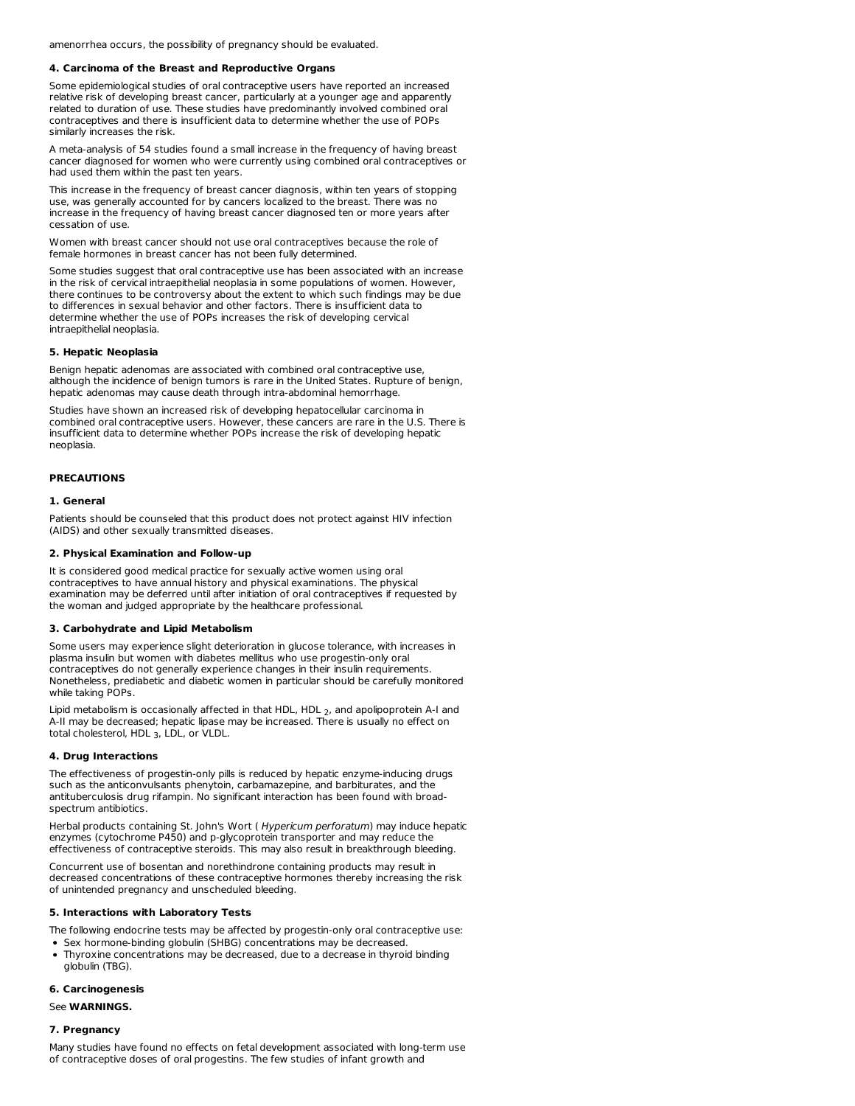amenorrhea occurs, the possibility of pregnancy should be evaluated.

#### **4. Carcinoma of the Breast and Reproductive Organs**

Some epidemiological studies of oral contraceptive users have reported an increased relative risk of developing breast cancer, particularly at a younger age and apparently related to duration of use. These studies have predominantly involved combined oral contraceptives and there is insufficient data to determine whether the use of POPs similarly increases the risk.

A meta-analysis of 54 studies found a small increase in the frequency of having breast cancer diagnosed for women who were currently using combined oral contraceptives or had used them within the past ten years.

This increase in the frequency of breast cancer diagnosis, within ten years of stopping use, was generally accounted for by cancers localized to the breast. There was no increase in the frequency of having breast cancer diagnosed ten or more years after cessation of use.

Women with breast cancer should not use oral contraceptives because the role of female hormones in breast cancer has not been fully determined.

Some studies suggest that oral contraceptive use has been associated with an increase in the risk of cervical intraepithelial neoplasia in some populations of women. However, there continues to be controversy about the extent to which such findings may be due to differences in sexual behavior and other factors. There is insufficient data to determine whether the use of POPs increases the risk of developing cervical intraepithelial neoplasia.

## **5. Hepatic Neoplasia**

Benign hepatic adenomas are associated with combined oral contraceptive use, although the incidence of benign tumors is rare in the United States. Rupture of benign, hepatic adenomas may cause death through intra-abdominal hemorrhage.

Studies have shown an increased risk of developing hepatocellular carcinoma in combined oral contraceptive users. However, these cancers are rare in the U.S. There is insufficient data to determine whether POPs increase the risk of developing hepatic neoplasia.

#### **PRECAUTIONS**

#### **1. General**

Patients should be counseled that this product does not protect against HIV infection (AIDS) and other sexually transmitted diseases.

## **2. Physical Examination and Follow-up**

It is considered good medical practice for sexually active women using oral contraceptives to have annual history and physical examinations. The physical examination may be deferred until after initiation of oral contraceptives if requested by the woman and judged appropriate by the healthcare professional.

#### **3. Carbohydrate and Lipid Metabolism**

Some users may experience slight deterioration in glucose tolerance, with increases in plasma insulin but women with diabetes mellitus who use progestin-only oral contraceptives do not generally experience changes in their insulin requirements. Nonetheless, prediabetic and diabetic women in particular should be carefully monitored while taking POPs.

Lipid metabolism is occasionally affected in that HDL, HDL , and apolipoprotein A-I and 2 A-II may be decreased; hepatic lipase may be increased. There is usually no effect on total cholesterol, HDL <sub>3</sub>, LDL, or VLDL.

#### **4. Drug Interactions**

The effectiveness of progestin-only pills is reduced by hepatic enzyme-inducing drugs such as the anticonvulsants phenytoin, carbamazepine, and barbiturates, and the antituberculosis drug rifampin. No significant interaction has been found with broadspectrum antibiotics.

Herbal products containing St. John's Wort ( Hypericum perforatum) may induce hepatic enzymes (cytochrome P450) and p-glycoprotein transporter and may reduce the effectiveness of contraceptive steroids. This may also result in breakthrough bleeding.

Concurrent use of bosentan and norethindrone containing products may result in decreased concentrations of these contraceptive hormones thereby increasing the risk of unintended pregnancy and unscheduled bleeding.

#### **5. Interactions with Laboratory Tests**

The following endocrine tests may be affected by progestin-only oral contraceptive use: • Sex hormone-binding globulin (SHBG) concentrations may be decreased.

Thyroxine concentrations may be decreased, due to a decrease in thyroid binding globulin (TBG).

#### **6. Carcinogenesis**

#### See **WARNINGS.**

## **7. Pregnancy**

Many studies have found no effects on fetal development associated with long-term use of contraceptive doses of oral progestins. The few studies of infant growth and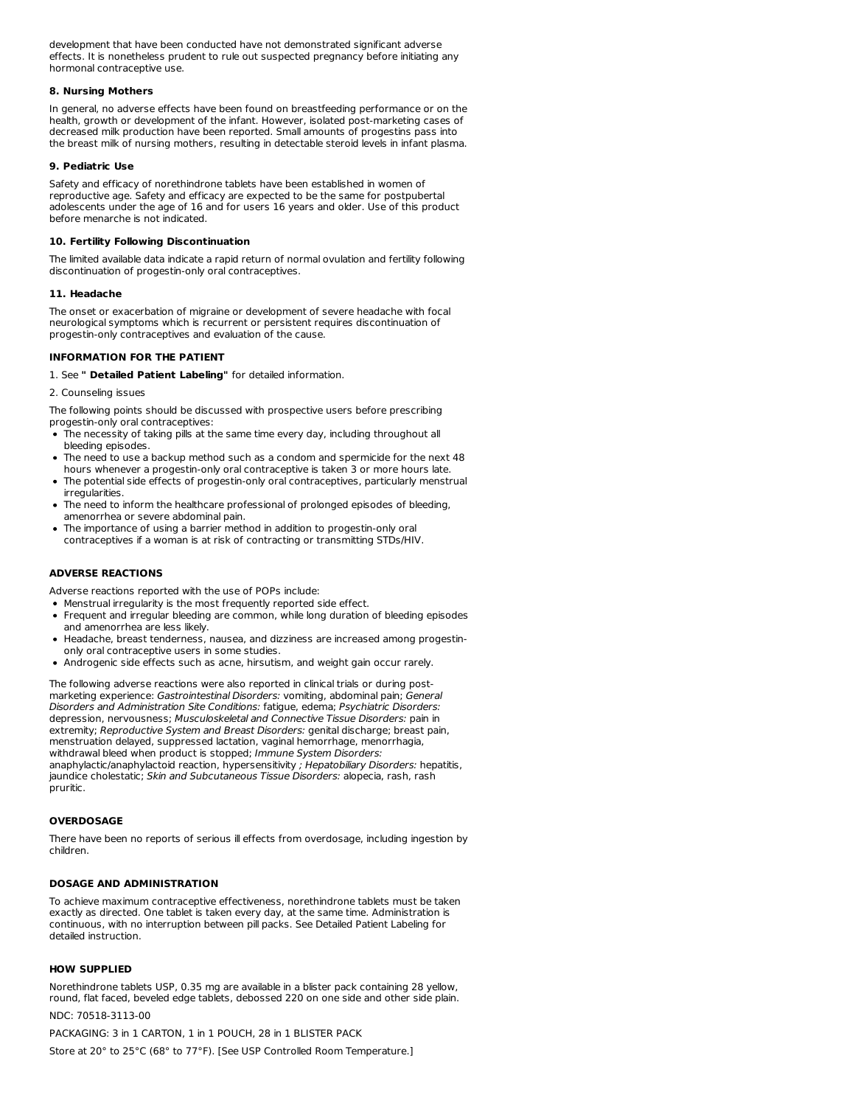development that have been conducted have not demonstrated significant adverse effects. It is nonetheless prudent to rule out suspected pregnancy before initiating any hormonal contraceptive use.

## **8. Nursing Mothers**

In general, no adverse effects have been found on breastfeeding performance or on the health, growth or development of the infant. However, isolated post-marketing cases of decreased milk production have been reported. Small amounts of progestins pass into the breast milk of nursing mothers, resulting in detectable steroid levels in infant plasma.

#### **9. Pediatric Use**

Safety and efficacy of norethindrone tablets have been established in women of reproductive age. Safety and efficacy are expected to be the same for postpubertal adolescents under the age of 16 and for users 16 years and older. Use of this product before menarche is not indicated.

#### **10. Fertility Following Discontinuation**

The limited available data indicate a rapid return of normal ovulation and fertility following discontinuation of progestin-only oral contraceptives.

#### **11. Headache**

The onset or exacerbation of migraine or development of severe headache with focal neurological symptoms which is recurrent or persistent requires discontinuation of progestin-only contraceptives and evaluation of the cause.

## **INFORMATION FOR THE PATIENT**

1. See **" Detailed Patient Labeling"** for detailed information.

2. Counseling issues

The following points should be discussed with prospective users before prescribing progestin-only oral contraceptives:

- The necessity of taking pills at the same time every day, including throughout all bleeding episodes.
- The need to use a backup method such as a condom and spermicide for the next 48 hours whenever a progestin-only oral contraceptive is taken 3 or more hours late.
- The potential side effects of progestin-only oral contraceptives, particularly menstrual irregularities.
- The need to inform the healthcare professional of prolonged episodes of bleeding, amenorrhea or severe abdominal pain.
- The importance of using a barrier method in addition to progestin-only oral contraceptives if a woman is at risk of contracting or transmitting STDs/HIV.

## **ADVERSE REACTIONS**

Adverse reactions reported with the use of POPs include:

- Menstrual irregularity is the most frequently reported side effect.
- Frequent and irregular bleeding are common, while long duration of bleeding episodes and amenorrhea are less likely.
- Headache, breast tenderness, nausea, and dizziness are increased among progestinonly oral contraceptive users in some studies.
- Androgenic side effects such as acne, hirsutism, and weight gain occur rarely.

The following adverse reactions were also reported in clinical trials or during post marketing experience: Gastrointestinal Disorders: vomiting, abdominal pain; General Disorders and Administration Site Conditions: fatigue, edema; Psychiatric Disorders: depression, nervousness; Musculoskeletal and Connective Tissue Disorders: pain in extremity; Reproductive System and Breast Disorders: genital discharge; breast pain, menstruation delayed, suppressed lactation, vaginal hemorrhage, menorrhagia, withdrawal bleed when product is stopped; Immune System Disorders: anaphylactic/anaphylactoid reaction, hypersensitivity ; Hepatobiliary Disorders: hepatitis, jaundice cholestatic; Skin and Subcutaneous Tissue Disorders: alopecia, rash, rash pruritic.

## **OVERDOSAGE**

There have been no reports of serious ill effects from overdosage, including ingestion by children.

## **DOSAGE AND ADMINISTRATION**

To achieve maximum contraceptive effectiveness, norethindrone tablets must be taken exactly as directed. One tablet is taken every day, at the same time. Administration is continuous, with no interruption between pill packs. See Detailed Patient Labeling for detailed instruction.

## **HOW SUPPLIED**

Norethindrone tablets USP, 0.35 mg are available in a blister pack containing 28 yellow, round, flat faced, beveled edge tablets, debossed 220 on one side and other side plain. NDC: 70518-3113-00

## PACKAGING: 3 in 1 CARTON, 1 in 1 POUCH, 28 in 1 BLISTER PACK

Store at 20° to 25°C (68° to 77°F). [See USP Controlled Room Temperature.]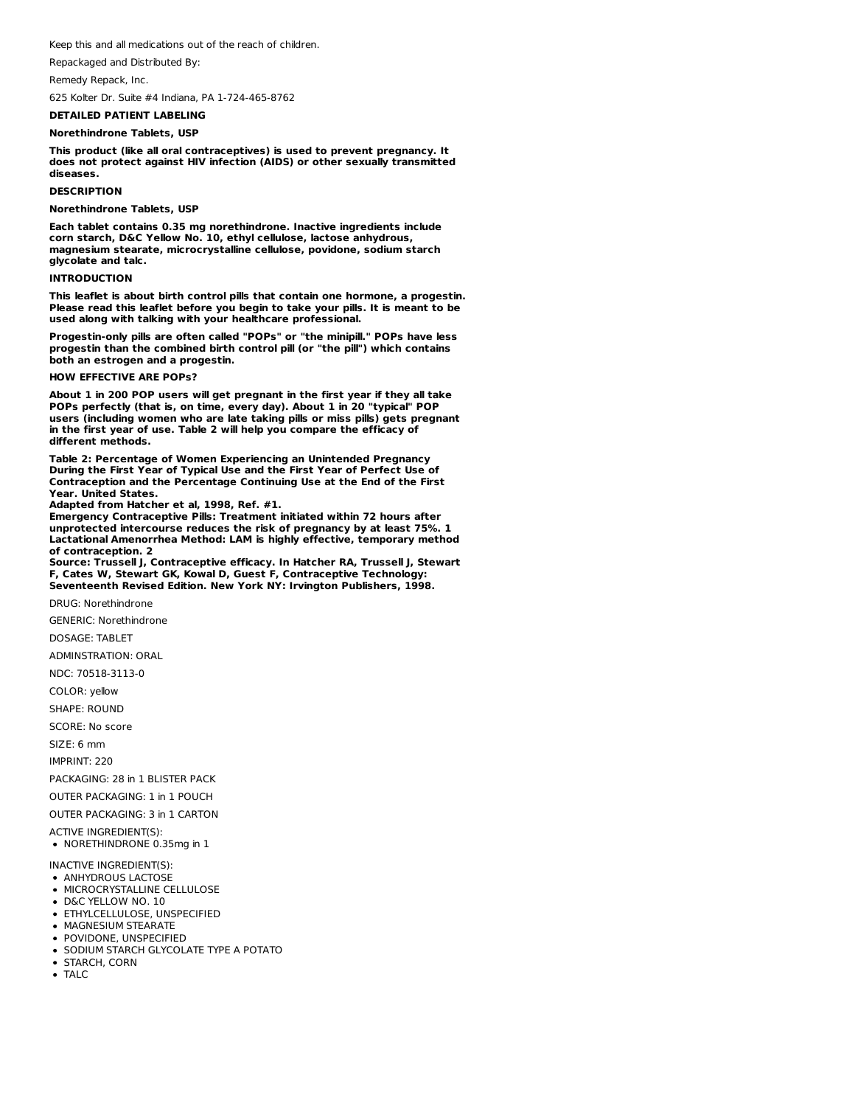Keep this and all medications out of the reach of children.

Repackaged and Distributed By:

Remedy Repack, Inc.

625 Kolter Dr. Suite #4 Indiana, PA 1-724-465-8762

## **DETAILED PATIENT LABELING**

#### **Norethindrone Tablets, USP**

**This product (like all oral contraceptives) is used to prevent pregnancy. It does not protect against HIV infection (AIDS) or other sexually transmitted diseases.**

#### **DESCRIPTION**

**Norethindrone Tablets, USP**

**Each tablet contains 0.35 mg norethindrone. Inactive ingredients include corn starch, D&C Yellow No. 10, ethyl cellulose, lactose anhydrous, magnesium stearate, microcrystalline cellulose, povidone, sodium starch glycolate and talc.**

## **INTRODUCTION**

**This leaflet is about birth control pills that contain one hormone, a progestin. Please read this leaflet before you begin to take your pills. It is meant to be used along with talking with your healthcare professional.**

**Progestin-only pills are often called "POPs" or "the minipill." POPs have less progestin than the combined birth control pill (or "the pill") which contains both an estrogen and a progestin.**

## **HOW EFFECTIVE ARE POPs?**

**About 1 in 200 POP users will get pregnant in the first year if they all take POPs perfectly (that is, on time, every day). About 1 in 20 "typical" POP users (including women who are late taking pills or miss pills) gets pregnant in the first year of use. Table 2 will help you compare the efficacy of different methods.**

**Table 2: Percentage of Women Experiencing an Unintended Pregnancy During the First Year of Typical Use and the First Year of Perfect Use of Contraception and the Percentage Continuing Use at the End of the First Year. United States.**

**Adapted from Hatcher et al, 1998, Ref. #1.**

**Emergency Contraceptive Pills: Treatment initiated within 72 hours after unprotected intercourse reduces the risk of pregnancy by at least 75%. 1 Lactational Amenorrhea Method: LAM is highly effective, temporary method of contraception. 2**

**Source: Trussell J, Contraceptive efficacy. In Hatcher RA, Trussell J, Stewart F, Cates W, Stewart GK, Kowal D, Guest F, Contraceptive Technology: Seventeenth Revised Edition. New York NY: Irvington Publishers, 1998.**

DRUG: Norethindrone

GENERIC: Norethindrone

DOSAGE: TABLET

ADMINSTRATION: ORAL

NDC: 70518-3113-0

COLOR: yellow

SHAPE: ROUND

SCORE: No score

SIZE: 6 mm

IMPRINT: 220

PACKAGING: 28 in 1 BLISTER PACK

OUTER PACKAGING: 1 in 1 POUCH

OUTER PACKAGING: 3 in 1 CARTON

ACTIVE INGREDIENT(S):

NORETHINDRONE 0.35mg in 1

INACTIVE INGREDIENT(S):

- ANHYDROUS LACTOSE
- **MICROCRYSTALLINE CELLULOSE**
- D&C YELLOW NO. 10 ETHYLCELLULOSE, UNSPECIFIED
- **MAGNESIUM STEARATE**
- **POVIDONE, UNSPECIFIED**
- **SODIUM STARCH GLYCOLATE TYPE A POTATO**
- STARCH, CORN
- $\bullet$  TALC